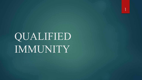QUALIFIED IMMUNITY

1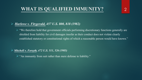# **WHAT IS QUALIFIED IMMUNITY?**

#### *Harlowe v. Fitzgerald, 457 U.S. 800, 818 (1982)*

 $\triangleright$  "We therefore hold that government officials performing discretionary functions generally are shielded from liability for civil damages insofar as their conduct does not violate clearly established statutory or constitutional rights of which a reasonable person would have known."

#### *Mitchell v. Forsyth, 472 U.S. 511, 526 (1985)*

 $\triangleright$  "An immunity from suit rather than mere defense to liability."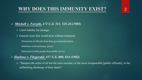# **WHY DOES THIS IMMUNITY EXIST?**

#### *Mitchell v. Forsyth, 472 U.S. 511, 525-26 (1985)*

- $\triangleright$  Limit liability for damage.
- $\triangleright$  General costs that would arise without immunity.
	- Distraction of officials from their governmental duties.
	- Inhibition of discretionary action.
	- Deterrence of able people from public service.

#### *Harlowe v. Fitzgerald, 457 U.S. 800, 814 (1982)*

 $\triangleright$  "Dampen the ardor of all but the most resolute, or the most irresponsible [public officials], in the unflinching discharge of their duties"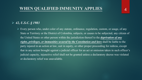### **WHEN QUALIFIED IMMUNITY APPLIES**

#### *42, U.S.C. § 1983*

 $\triangleright$  Every person who, under color of any statute, ordinance, regulation, custom, or usage, of any State or Territory or the District of Colombia, subjects, or causes to be subjected, any citizen of the United States or other person within the jurisdiction thereof to the *deprivation of any rights, privileges, or immunities secured by the Constitution and laws* shall be liable to the party injured in an action at law, suit in equity, or other proper proceeding for redress, except that in any action brought against a judicial officer for an act or omission taken in such officer's judicial capacity, injunctive relief shall not be granted unless a declaratory decree was violated or declaratory relief was unavailable.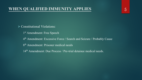- Constitutional Violations:
	- 1<sup>st</sup> Amendment: Free Speech
	- 4<sup>th</sup> Amendment: Excessive Force / Search and Seizure / Probably Cause
	- 8th Amendment: Prisoner medical needs
	- 14<sup>th</sup> Amendment: Due Process / Pre-trial detainee medical needs.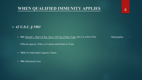#### **WHEN QUALIFIED IMMUNITY APPLIES**

*42 U.S.C. § 1983*

▶ **NO:** Monell v. Dep't of Soc. Servs. Of City of New York, 426 U.S. 658 (1978) Municipality

Official capacity: Policy or Custom and Failure to Train

**YES:** For Individual Capacity Claims

**NO:** Ministerial Acts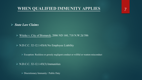### **WHEN QUALIFIED IMMUNITY APPLIES**

*State Law Claims*

Witzke v. City of Bismarck, 2006 ND 160, 718 N.W.2d 586

 $\triangleright$  N.D.C.C. 32-12.1-03(4) No Employee Liability

Exception: Reckless or grossly negligent conduct or willful or wanton misconduct

 $\triangleright$  N.D.C.C. 32-12.1-03(3) Immunities

 $\triangleright$  Discretionary Immunity / Public Duty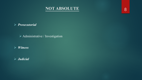

8

#### *Prosecutorial*

- Administrative / Investigation
- *Witness*
- *Judicial*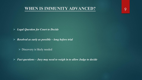#### **WHEN IS IMMUNITY ADVANCED?**

- *Legal Question for Court to Decide*
- *Resolved as early as possible – long before trial*
	- $\triangleright$  Discovery is likely needed
- *Fact questions – Jury may need to weigh in to allow Judge to decide*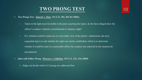- *Two Prong Test – Saucier v. Katz, 533 U.S. 194, 201-02 (2001).*
	- 1. Taken in the light most favorable to the party asserting the injury, do the facts alleged show the officer's conduct violated a constitutional or statutory right?
	- 2. If a violation could be made out on a favorable view of the parties' submissions, the next, sequential step is to ask whether the right was clearly established, which is to determine whether it would be clear to a reasonable officer his conduct was unlawful in the situation he encountered.
- *Start with Either Prong –Pearson v. Callahan, 555 U.S. 223, 236 (2009)*
	- $\triangleright$  Judge can decide which of 2 prongs are addressed first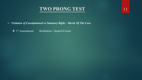11

*Violation of Constitutional or Statutory Right – Merits Of The Case*

▶ 1<sup>st</sup> Amendment: Retaliation / Speech-Forum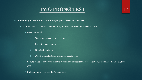- *Violation of Constitutional or Statutory Right – Merits Of The Case*
	- $\triangleright$  4<sup>th</sup> Amendment: Excessive Force / Illegal Search and Seizure / Probable Cause
		- $\triangleright$  Force Permitted:
			- 1. Was it unreasonable or excessive
			- 2. Facts & circumstances
			- 3. Not 20/20 hindsight
			- 4. 2021 Minnesota statute change for deadly force
		- ▶ Seizure = Use of force with intent to restrain but not accidental force. Torres v. Madrid, 141 S. Ct. 989, 998 (2021)
		- ▶ Probable Cause or Arguable Probable Cause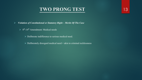- *Violation of Constitutional or Statutory Right – Merits Of The Case*
	- $\geq 8^{th}$ -14<sup>th</sup> Amendment: Medical needs
		- Deliberate indifference to serious medical need.
		- $\triangleright$  Deliberately disregard medical need = akin to criminal recklessness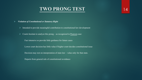14

- *Violation of Constitutional or Statutory Right*
	- $\triangleright$  Intended to provide meaningful contribution to constitutional law development
	- $\triangleright$  Courts hesitate to analyze this prong as recognized in Pearson case:
		- Fact intensive so provide little guidance for future cases
		- Lower court decision has little value if higher court decides constitutional issue
		- Decision may rest on interpretation of state law value only for that state.
		- Departs from general rule of constitutional avoidance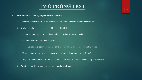- *Constitutional or Statutory Right Clearly Established*
	- $\triangleright$  Clear to a reasonable officer his conduct was unlawful in the situation he encountered.
	- $\triangleright$  Kisela v. Hughes, U.S. , 138 S. Ct. 1148 (2018)
		- Fair notice that conduct was unlawful– judged by law at time of conduct
		- Does not require case directly on point
			- Caveat: In excessive force case entitled to QI unless precedent "squarely governs"
		- "Precedent must have placed statutory or constitutional question beyond debate"
		- Why: "Immunity protects all but the plainly incompetent or those who knowingly violate the law."
	- $\triangleright$  Plaintiff's burden to prove right was clearly established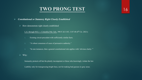- *Constitutional or Statutory Right Clearly Established*
	- $\triangleright$  How demonstrate right clearly established

L.G. through M.G. v. Columbia Pub. Sch., 990 F.3d 1145, 1147-48 (8<sup>th</sup> Cir. 2021):

- 1. Existing circuit precedent with sufficiently similar facts.
- 2. "A robust consensus of cases of persuasive authority."
- 3. "In rare instances, that a general constitutional rule applies with 'obvious clarity.'"
- $\triangleright$  Why:

Immunity protects all but the plainly incompetent or those who knowingly violate the law

Liability only for transgressing bright lines, not for making bad guesses in gray areas.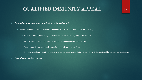# **QUALIFIED IMMUNITY APPEAL**

# 17

#### *Entitled to immediate appeal if denied QI by trial court.*

Exception: Genuine Issue of Material Fact (Scott v. Harris, 550 U.S. 372, 380 (2007))

 $\triangleright$  Facts must be viewed in the light most favorable to the nonmoving party – the Plaintiff

- $\triangleright$  Plaintiff must present more than some metaphysical doubt as to the material facts.
- $\triangleright$  Some factual dispute not enough must be genuine issue of material fact
- $\triangleright$  Two stories, and one blatantly contradicted by record, so no reasonable jury could believe it, that version of facts should not be adopted.
- *Stay of case pending appeal.*